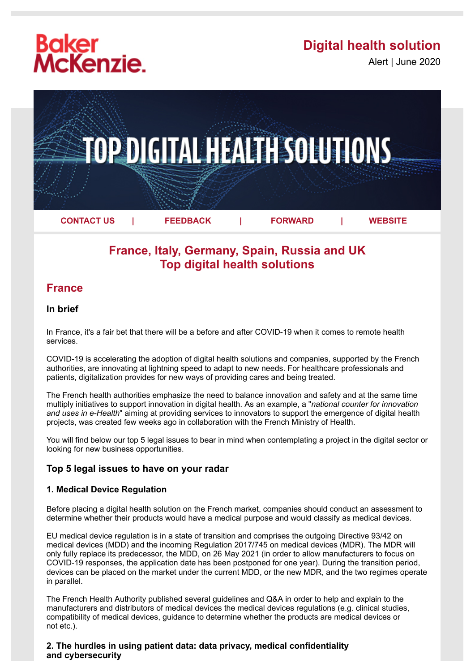# **Baker<br>McKenzie.**

## **Digital health solution**

Alert | June 2020



## **France, Italy, Germany, Spain, Russia and UK Top digital health solutions**

### **France**

#### **In brief**

In France, it's a fair bet that there will be a before and after COVID-19 when it comes to remote health services.

COVID-19 is accelerating the adoption of digital health solutions and companies, supported by the French authorities, are innovating at lightning speed to adapt to new needs. For healthcare professionals and patients, digitalization provides for new ways of providing cares and being treated.

The French health authorities emphasize the need to balance innovation and safety and at the same time multiply initiatives to support innovation in digital health. As an example, a "*national counter for innovation and uses in e-Health*" aiming at providing services to innovators to support the emergence of digital health projects, was created few weeks ago in collaboration with the French Ministry of Health.

You will find below our top 5 legal issues to bear in mind when contemplating a project in the digital sector or looking for new business opportunities.

#### **Top 5 legal issues to have on your radar**

#### **1. Medical Device Regulation**

Before placing a digital health solution on the French market, companies should conduct an assessment to determine whether their products would have a medical purpose and would classify as medical devices.

EU medical device regulation is in a state of transition and comprises the outgoing Directive 93/42 on medical devices (MDD) and the incoming Regulation 2017/745 on medical devices (MDR). The MDR will only fully replace its predecessor, the MDD, on 26 May 2021 (in order to allow manufacturers to focus on COVID‑19 responses, the application date has been postponed for one year). During the transition period, devices can be placed on the market under the current MDD, or the new MDR, and the two regimes operate in parallel.

The French Health Authority published several guidelines and Q&A in order to help and explain to the manufacturers and distributors of medical devices the medical devices regulations (e.g. clinical studies, compatibility of medical devices, guidance to determine whether the products are medical devices or not etc.).

#### **2. The hurdles in using patient data: data privacy, medical confidentiality and cybersecurity**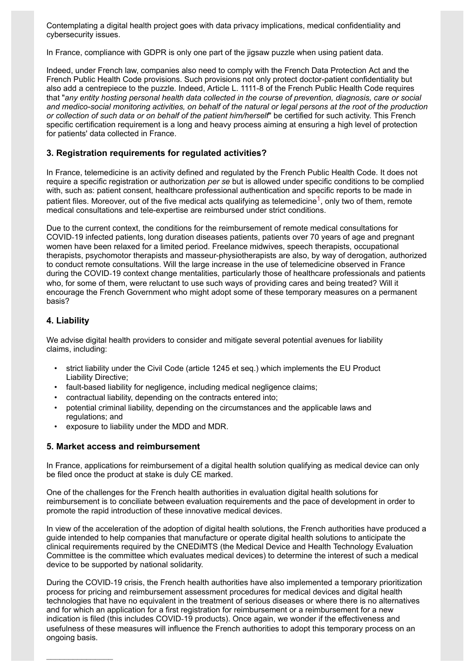Contemplating a digital health project goes with data privacy implications, medical confidentiality and cybersecurity issues.

In France, compliance with GDPR is only one part of the jigsaw puzzle when using patient data.

Indeed, under French law, companies also need to comply with the French Data Protection Act and the French Public Health Code provisions. Such provisions not only protect doctor-patient confidentiality but also add a centrepiece to the puzzle. Indeed, Article L. 1111-8 of the French Public Health Code requires that "*any entity hosting personal health data collected in the course of prevention, diagnosis, care or social* and medico-social monitoring activities, on behalf of the natural or legal persons at the root of the production *or collection of such data or on behalf of the patient him/herself*" be certified for such activity. This French specific certification requirement is a long and heavy process aiming at ensuring a high level of protection for patients' data collected in France.

#### **3. Registration requirements for regulated activities?**

In France, telemedicine is an activity defined and regulated by the French Public Health Code. It does not require a specific registration or authorization *per se* but is allowed under specific conditions to be complied with, such as: patient consent, healthcare professional authentication and specific reports to be made in patient files. Moreover, out of the five medical acts qualifying as telemedicine<sup>[1](#page-2-0)</sup>, only two of them, remote medical consultations and tele-expertise are reimbursed under strict conditions.

Due to the current context, the conditions for the reimbursement of remote medical consultations for COVID‑19 infected patients, long duration diseases patients, patients over 70 years of age and pregnant women have been relaxed for a limited period. Freelance midwives, speech therapists, occupational therapists, psychomotor therapists and masseur-physiotherapists are also, by way of derogation, authorized to conduct remote consultations. Will the large increase in the use of telemedicine observed in France during the COVID-19 context change mentalities, particularly those of healthcare professionals and patients who, for some of them, were reluctant to use such ways of providing cares and being treated? Will it encourage the French Government who might adopt some of these temporary measures on a permanent basis?

#### **4. Liability**

 $\mathcal{L}$  , we have the set of the set of the set of the set of the set of the set of the set of the set of the set of the set of the set of the set of the set of the set of the set of the set of the set of the set of the

We advise digital health providers to consider and mitigate several potential avenues for liability claims, including:

- strict liability under the Civil Code (article 1245 et seq.) which implements the EU Product Liability Directive;
- fault-based liability for negligence, including medical negligence claims;
- contractual liability, depending on the contracts entered into;
- potential criminal liability, depending on the circumstances and the applicable laws and regulations; and
- exposure to liability under the MDD and MDR.

#### **5. Market access and reimbursement**

In France, applications for reimbursement of a digital health solution qualifying as medical device can only be filed once the product at stake is duly CE marked.

One of the challenges for the French health authorities in evaluation digital health solutions for reimbursement is to conciliate between evaluation requirements and the pace of development in order to promote the rapid introduction of these innovative medical devices.

In view of the acceleration of the adoption of digital health solutions, the French authorities have produced a guide intended to help companies that manufacture or operate digital health solutions to anticipate the clinical requirements required by the CNEDiMTS (the Medical Device and Health Technology Evaluation Committee is the committee which evaluates medical devices) to determine the interest of such a medical device to be supported by national solidarity.

During the COVID-19 crisis, the French health authorities have also implemented a temporary prioritization process for pricing and reimbursement assessment procedures for medical devices and digital health technologies that have no equivalent in the treatment of serious diseases or where there is no alternatives and for which an application for a first registration for reimbursement or a reimbursement for a new indication is filed (this includes COVID-19 products). Once again, we wonder if the effectiveness and usefulness of these measures will influence the French authorities to adopt this temporary process on an ongoing basis.